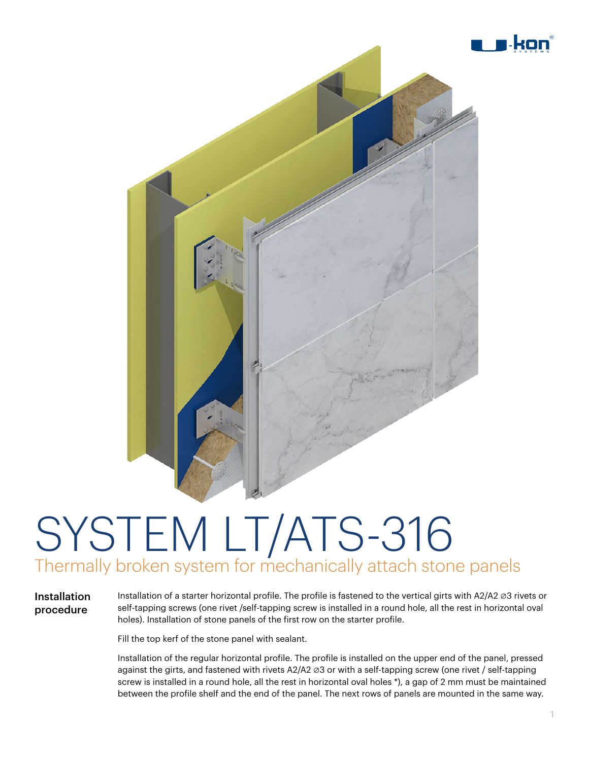

### SYSTEM LT/ATS-316 Thermally broken system for mechanically attach stone panels

Installation procedure

Installation of a starter horizontal profile. The profile is fastened to the vertical girts with A2/A2 ∅3 rivets or self-tapping screws (one rivet /self-tapping screw is installed in a round hole, all the rest in horizontal oval holes). Installation of stone panels of the first row on the starter profile.

Fill the top kerf of the stone panel with sealant.

Installation of the regular horizontal profile. The profile is installed on the upper end of the panel, pressed against the girts, and fastened with rivets A2/A2 ∅3 or with a self-tapping screw (one rivet / self-tapping screw is installed in a round hole, all the rest in horizontal oval holes \*), a gap of 2 mm must be maintained between the profile shelf and the end of the panel. The next rows of panels are mounted in the same way.

kor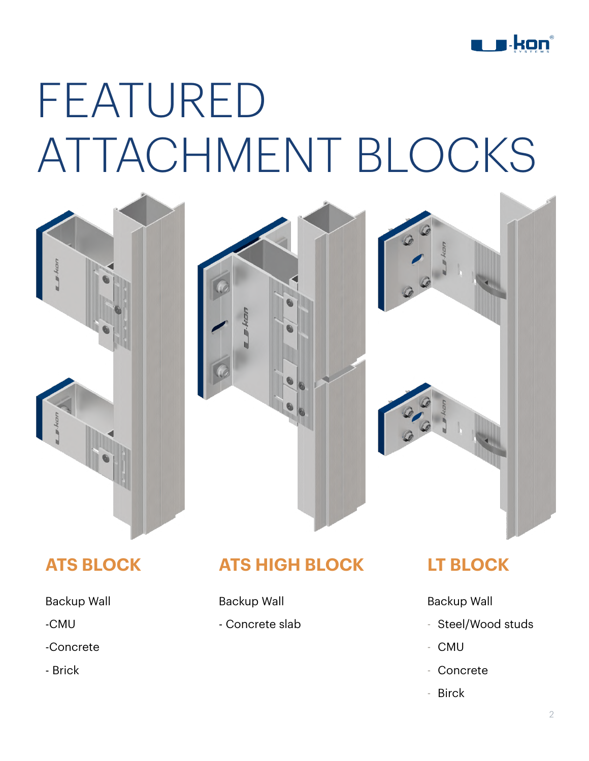

## FEATURED ATTACHMENT BLOCKS







#### **ATS BLOCK**

#### Backup Wall

- -CMU
- -Concrete
- Brick

### **ATS HIGH BLOCK**

Backup Wall

- Concrete slab

#### **LT BLOCK**

Backup Wall

- Steel/Wood studs
- CMU
- Concrete
- Birck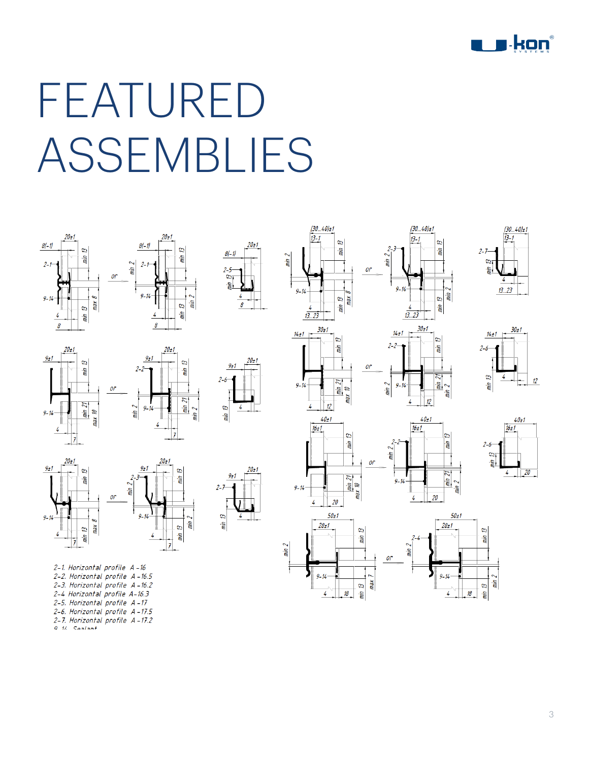

## FEATURED ASSEMBLIES

 $20 + 1$ 

4  $\pmb{\theta}$ 









2-1. Horizontal profile A-16 2-2. Horizontal profile A-16.5 2-3. Horizontal profile A-16.2 2-4 Horizontal profile A-16.3 2-5. Horizontal profile A-17 2-6. Horizontal profile A-17.5 2-7. Horizontal profile A-17.2  $91$   $1$  Coolont



8

 $20 + 1$ 





 $(30..40) + 1$ 

 $\overline{a}$ 

 $min$ 

 $13.1$ 

2 min

 $9 - 14$ 

 $14t1$ 

 $9 - 14$ 

 $13.23$ 











 $min$   $2$